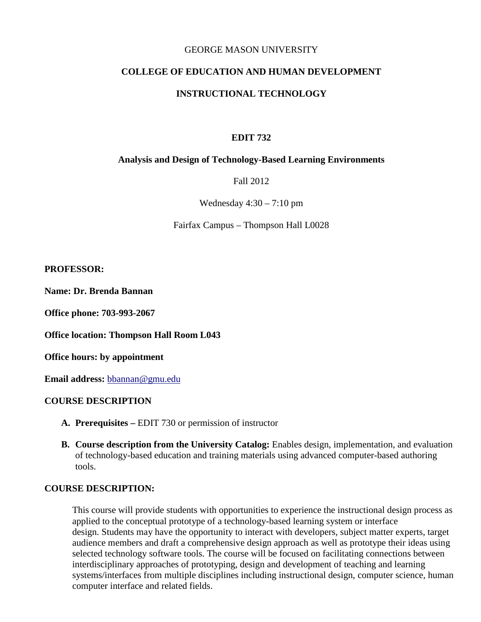#### GEORGE MASON UNIVERSITY

# **COLLEGE OF EDUCATION AND HUMAN DEVELOPMENT**

#### **INSTRUCTIONAL TECHNOLOGY**

#### **EDIT 732**

#### **Analysis and Design of Technology-Based Learning Environments**

Fall 2012

Wednesday  $4:30 - 7:10$  pm

Fairfax Campus – Thompson Hall L0028

#### **PROFESSOR:**

**Name: Dr. Brenda Bannan**

**Office phone: 703-993-2067**

**Office location: Thompson Hall Room L043**

**Office hours: by appointment** 

**Email address:** [bbannan@gmu.edu](mailto:bbannan@gmu.edu)

#### **COURSE DESCRIPTION**

- **A. Prerequisites –** EDIT 730 or permission of instructor
- **B. Course description from the University Catalog:** Enables design, implementation, and evaluation of technology-based education and training materials using advanced computer-based authoring tools.

#### **COURSE DESCRIPTION:**

This course will provide students with opportunities to experience the instructional design process as applied to the conceptual prototype of a technology-based learning system or interface design. Students may have the opportunity to interact with developers, subject matter experts, target audience members and draft a comprehensive design approach as well as prototype their ideas using selected technology software tools. The course will be focused on facilitating connections between interdisciplinary approaches of prototyping, design and development of teaching and learning systems/interfaces from multiple disciplines including instructional design, computer science, human computer interface and related fields.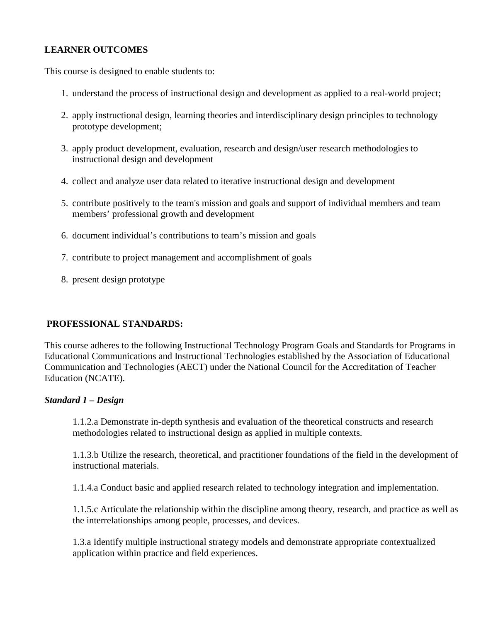# **LEARNER OUTCOMES**

This course is designed to enable students to:

- 1. understand the process of instructional design and development as applied to a real-world project;
- 2. apply instructional design, learning theories and interdisciplinary design principles to technology prototype development;
- 3. apply product development, evaluation, research and design/user research methodologies to instructional design and development
- 4. collect and analyze user data related to iterative instructional design and development
- 5. contribute positively to the team's mission and goals and support of individual members and team members' professional growth and development
- 6. document individual's contributions to team's mission and goals
- 7. contribute to project management and accomplishment of goals
- 8. present design prototype

# **PROFESSIONAL STANDARDS:**

This course adheres to the following Instructional Technology Program Goals and Standards for Programs in Educational Communications and Instructional Technologies established by the Association of Educational Communication and Technologies (AECT) under the National Council for the Accreditation of Teacher Education (NCATE).

# *Standard 1 – Design*

1.1.2.a Demonstrate in-depth synthesis and evaluation of the theoretical constructs and research methodologies related to instructional design as applied in multiple contexts.

1.1.3.b Utilize the research, theoretical, and practitioner foundations of the field in the development of instructional materials.

1.1.4.a Conduct basic and applied research related to technology integration and implementation.

1.1.5.c Articulate the relationship within the discipline among theory, research, and practice as well as the interrelationships among people, processes, and devices.

1.3.a Identify multiple instructional strategy models and demonstrate appropriate contextualized application within practice and field experiences.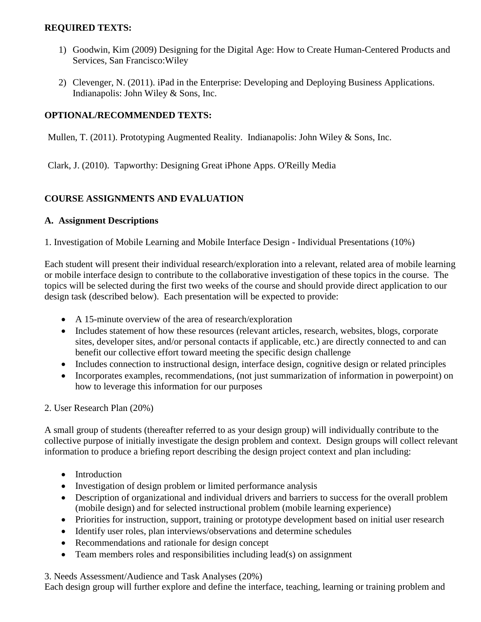### **REQUIRED TEXTS:**

- 1) Goodwin, Kim (2009) Designing for the Digital Age: How to Create Human-Centered Products and Services, San Francisco:Wiley
- 2) Clevenger, N. (2011). iPad in the Enterprise: Developing and Deploying Business Applications. Indianapolis: John Wiley & Sons, Inc.

# **OPTIONAL/RECOMMENDED TEXTS:**

Mullen, T. (2011). Prototyping Augmented Reality. Indianapolis: John Wiley & Sons, Inc.

Clark, J. (2010). Tapworthy: Designing Great iPhone Apps. O'Reilly Media

# **COURSE ASSIGNMENTS AND EVALUATION**

#### **A. Assignment Descriptions**

1. Investigation of Mobile Learning and Mobile Interface Design - Individual Presentations (10%)

Each student will present their individual research/exploration into a relevant, related area of mobile learning or mobile interface design to contribute to the collaborative investigation of these topics in the course. The topics will be selected during the first two weeks of the course and should provide direct application to our design task (described below). Each presentation will be expected to provide:

- A 15-minute overview of the area of research/exploration
- Includes statement of how these resources (relevant articles, research, websites, blogs, corporate sites, developer sites, and/or personal contacts if applicable, etc.) are directly connected to and can benefit our collective effort toward meeting the specific design challenge
- Includes connection to instructional design, interface design, cognitive design or related principles
- Incorporates examples, recommendations, (not just summarization of information in powerpoint) on how to leverage this information for our purposes

2. User Research Plan (20%)

A small group of students (thereafter referred to as your design group) will individually contribute to the collective purpose of initially investigate the design problem and context. Design groups will collect relevant information to produce a briefing report describing the design project context and plan including:

- Introduction
- Investigation of design problem or limited performance analysis
- Description of organizational and individual drivers and barriers to success for the overall problem (mobile design) and for selected instructional problem (mobile learning experience)
- Priorities for instruction, support, training or prototype development based on initial user research
- Identify user roles, plan interviews/observations and determine schedules
- Recommendations and rationale for design concept
- Team members roles and responsibilities including lead(s) on assignment

3. Needs Assessment/Audience and Task Analyses (20%)

Each design group will further explore and define the interface, teaching, learning or training problem and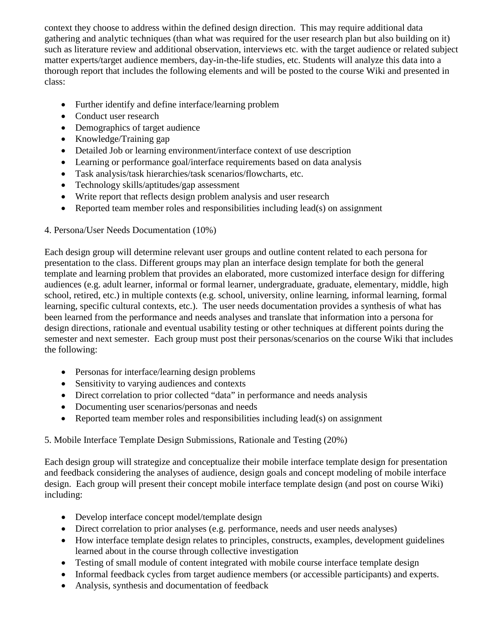context they choose to address within the defined design direction. This may require additional data gathering and analytic techniques (than what was required for the user research plan but also building on it) such as literature review and additional observation, interviews etc. with the target audience or related subject matter experts/target audience members, day-in-the-life studies, etc. Students will analyze this data into a thorough report that includes the following elements and will be posted to the course Wiki and presented in class:

- Further identify and define interface/learning problem
- Conduct user research
- Demographics of target audience
- Knowledge/Training gap
- Detailed Job or learning environment/interface context of use description
- Learning or performance goal/interface requirements based on data analysis
- Task analysis/task hierarchies/task scenarios/flowcharts, etc.
- Technology skills/aptitudes/gap assessment
- Write report that reflects design problem analysis and user research
- Reported team member roles and responsibilities including lead(s) on assignment

# 4. Persona/User Needs Documentation (10%)

Each design group will determine relevant user groups and outline content related to each persona for presentation to the class. Different groups may plan an interface design template for both the general template and learning problem that provides an elaborated, more customized interface design for differing audiences (e.g. adult learner, informal or formal learner, undergraduate, graduate, elementary, middle, high school, retired, etc.) in multiple contexts (e.g. school, university, online learning, informal learning, formal learning, specific cultural contexts, etc.). The user needs documentation provides a synthesis of what has been learned from the performance and needs analyses and translate that information into a persona for design directions, rationale and eventual usability testing or other techniques at different points during the semester and next semester. Each group must post their personas/scenarios on the course Wiki that includes the following:

- Personas for interface/learning design problems
- Sensitivity to varying audiences and contexts
- Direct correlation to prior collected "data" in performance and needs analysis
- Documenting user scenarios/personas and needs
- Reported team member roles and responsibilities including lead(s) on assignment

# 5. Mobile Interface Template Design Submissions, Rationale and Testing (20%)

Each design group will strategize and conceptualize their mobile interface template design for presentation and feedback considering the analyses of audience, design goals and concept modeling of mobile interface design. Each group will present their concept mobile interface template design (and post on course Wiki) including:

- Develop interface concept model/template design
- Direct correlation to prior analyses (e.g. performance, needs and user needs analyses)
- How interface template design relates to principles, constructs, examples, development guidelines learned about in the course through collective investigation
- Testing of small module of content integrated with mobile course interface template design
- Informal feedback cycles from target audience members (or accessible participants) and experts.
- Analysis, synthesis and documentation of feedback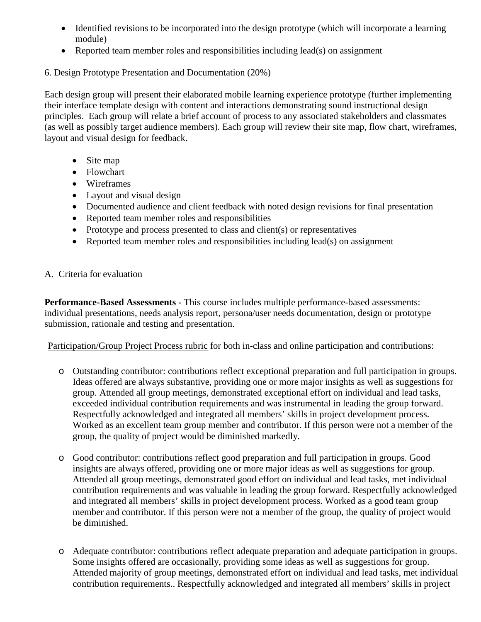- Identified revisions to be incorporated into the design prototype (which will incorporate a learning module)
- Reported team member roles and responsibilities including lead(s) on assignment

# 6. Design Prototype Presentation and Documentation (20%)

Each design group will present their elaborated mobile learning experience prototype (further implementing their interface template design with content and interactions demonstrating sound instructional design principles. Each group will relate a brief account of process to any associated stakeholders and classmates (as well as possibly target audience members). Each group will review their site map, flow chart, wireframes, layout and visual design for feedback.

- Site map
- Flowchart
- Wireframes
- Layout and visual design
- Documented audience and client feedback with noted design revisions for final presentation
- Reported team member roles and responsibilities
- Prototype and process presented to class and client(s) or representatives
- Reported team member roles and responsibilities including lead(s) on assignment

# A. Criteria for evaluation

**Performance-Based Assessments -** This course includes multiple performance-based assessments: individual presentations, needs analysis report, persona/user needs documentation, design or prototype submission, rationale and testing and presentation.

Participation/Group Project Process rubric for both in-class and online participation and contributions:

- o Outstanding contributor: contributions reflect exceptional preparation and full participation in groups. Ideas offered are always substantive, providing one or more major insights as well as suggestions for group. Attended all group meetings, demonstrated exceptional effort on individual and lead tasks, exceeded individual contribution requirements and was instrumental in leading the group forward. Respectfully acknowledged and integrated all members' skills in project development process. Worked as an excellent team group member and contributor. If this person were not a member of the group, the quality of project would be diminished markedly.
- o Good contributor: contributions reflect good preparation and full participation in groups. Good insights are always offered, providing one or more major ideas as well as suggestions for group. Attended all group meetings, demonstrated good effort on individual and lead tasks, met individual contribution requirements and was valuable in leading the group forward. Respectfully acknowledged and integrated all members' skills in project development process. Worked as a good team group member and contributor. If this person were not a member of the group, the quality of project would be diminished.
- o Adequate contributor: contributions reflect adequate preparation and adequate participation in groups. Some insights offered are occasionally, providing some ideas as well as suggestions for group. Attended majority of group meetings, demonstrated effort on individual and lead tasks, met individual contribution requirements.. Respectfully acknowledged and integrated all members' skills in project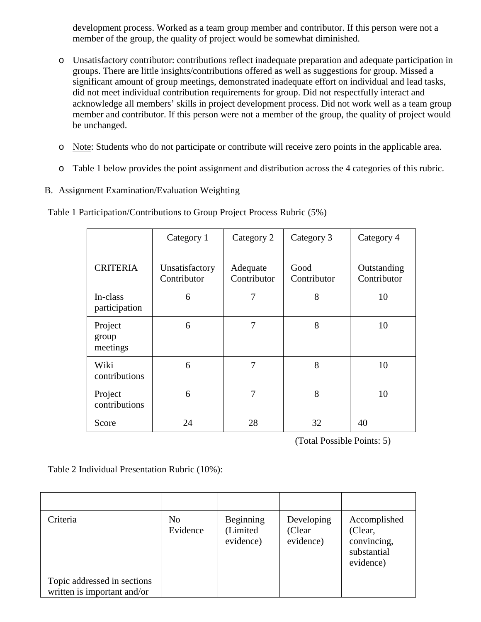development process. Worked as a team group member and contributor. If this person were not a member of the group, the quality of project would be somewhat diminished.

- o Unsatisfactory contributor: contributions reflect inadequate preparation and adequate participation in groups. There are little insights/contributions offered as well as suggestions for group. Missed a significant amount of group meetings, demonstrated inadequate effort on individual and lead tasks, did not meet individual contribution requirements for group. Did not respectfully interact and acknowledge all members' skills in project development process. Did not work well as a team group member and contributor. If this person were not a member of the group, the quality of project would be unchanged.
- o Note: Students who do not participate or contribute will receive zero points in the applicable area.
- o Table 1 below provides the point assignment and distribution across the 4 categories of this rubric.
- B. Assignment Examination/Evaluation Weighting

Table 1 Participation/Contributions to Group Project Process Rubric (5%)

|                              | Category 1                    | Category 2              | Category 3          | Category 4                 |
|------------------------------|-------------------------------|-------------------------|---------------------|----------------------------|
| <b>CRITERIA</b>              | Unsatisfactory<br>Contributor | Adequate<br>Contributor | Good<br>Contributor | Outstanding<br>Contributor |
| In-class<br>participation    | 6                             | 7                       | 8                   | 10                         |
| Project<br>group<br>meetings | 6                             | 7                       | 8                   | 10                         |
| Wiki<br>contributions        | 6                             | 7                       | 8                   | 10                         |
| Project<br>contributions     | 6                             | 7                       | 8                   | 10                         |
| Score                        | 24                            | 28                      | 32                  | 40                         |

(Total Possible Points: 5)

Table 2 Individual Presentation Rubric (10%):

| Criteria                                                   | N <sub>0</sub><br>Evidence | Beginning<br>(Limited<br>evidence) | Developing<br>(Clear<br>evidence) | Accomplished<br>(Clear,<br>convincing,<br>substantial<br>evidence) |
|------------------------------------------------------------|----------------------------|------------------------------------|-----------------------------------|--------------------------------------------------------------------|
| Topic addressed in sections<br>written is important and/or |                            |                                    |                                   |                                                                    |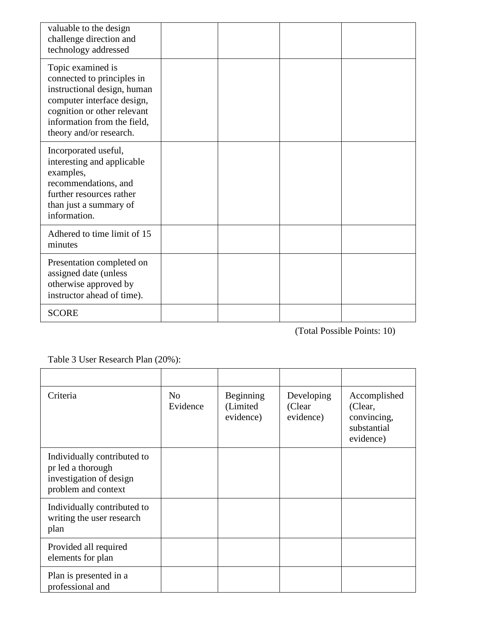| valuable to the design<br>challenge direction and<br>technology addressed                                                                                                                             |  |  |
|-------------------------------------------------------------------------------------------------------------------------------------------------------------------------------------------------------|--|--|
| Topic examined is<br>connected to principles in<br>instructional design, human<br>computer interface design,<br>cognition or other relevant<br>information from the field,<br>theory and/or research. |  |  |
| Incorporated useful,<br>interesting and applicable<br>examples,<br>recommendations, and<br>further resources rather<br>than just a summary of<br>information.                                         |  |  |
| Adhered to time limit of 15<br>minutes                                                                                                                                                                |  |  |
| Presentation completed on<br>assigned date (unless<br>otherwise approved by<br>instructor ahead of time).                                                                                             |  |  |
| <b>SCORE</b>                                                                                                                                                                                          |  |  |

(Total Possible Points: 10)

Table 3 User Research Plan (20%):

| Criteria                                                                                           | N <sub>0</sub><br>Evidence | Beginning<br>(Limited)<br>evidence) | Developing<br>(Clear<br>evidence) | Accomplished<br>(Clear,<br>convincing,<br>substantial<br>evidence) |
|----------------------------------------------------------------------------------------------------|----------------------------|-------------------------------------|-----------------------------------|--------------------------------------------------------------------|
| Individually contributed to<br>pr led a thorough<br>investigation of design<br>problem and context |                            |                                     |                                   |                                                                    |
| Individually contributed to<br>writing the user research<br>plan                                   |                            |                                     |                                   |                                                                    |
| Provided all required<br>elements for plan                                                         |                            |                                     |                                   |                                                                    |
| Plan is presented in a<br>professional and                                                         |                            |                                     |                                   |                                                                    |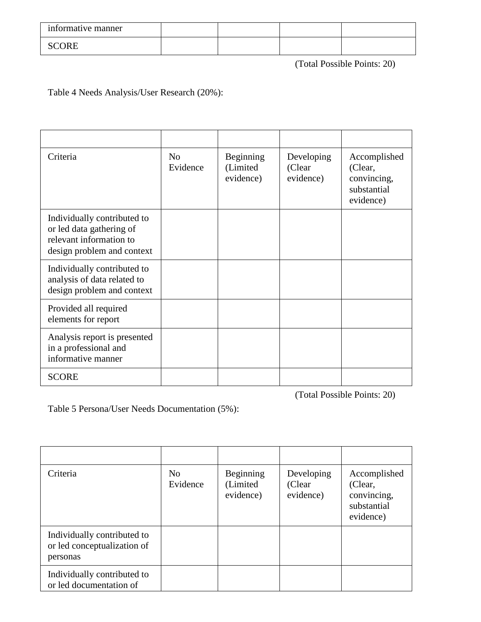| informative manner |  |  |
|--------------------|--|--|
| CORE<br>ັ          |  |  |

(Total Possible Points: 20)

Table 4 Needs Analysis/User Research (20%):

| Criteria                                                                                                         | N <sub>o</sub><br>Evidence | Beginning<br>(Limited<br>evidence) | Developing<br>(Clear<br>evidence) | Accomplished<br>(Clear,<br>convincing,<br>substantial<br>evidence) |
|------------------------------------------------------------------------------------------------------------------|----------------------------|------------------------------------|-----------------------------------|--------------------------------------------------------------------|
| Individually contributed to<br>or led data gathering of<br>relevant information to<br>design problem and context |                            |                                    |                                   |                                                                    |
| Individually contributed to<br>analysis of data related to<br>design problem and context                         |                            |                                    |                                   |                                                                    |
| Provided all required<br>elements for report                                                                     |                            |                                    |                                   |                                                                    |
| Analysis report is presented<br>in a professional and<br>informative manner                                      |                            |                                    |                                   |                                                                    |
| <b>SCORE</b>                                                                                                     |                            |                                    |                                   |                                                                    |

(Total Possible Points: 20)

Table 5 Persona/User Needs Documentation (5%):

| Criteria                                                               | N <sub>o</sub><br>Evidence | Beginning<br>(Limited)<br>evidence) | Developing<br>(Clear<br>evidence) | Accomplished<br>(Clear,<br>convincing,<br>substantial<br>evidence) |
|------------------------------------------------------------------------|----------------------------|-------------------------------------|-----------------------------------|--------------------------------------------------------------------|
| Individually contributed to<br>or led conceptualization of<br>personas |                            |                                     |                                   |                                                                    |
| Individually contributed to<br>or led documentation of                 |                            |                                     |                                   |                                                                    |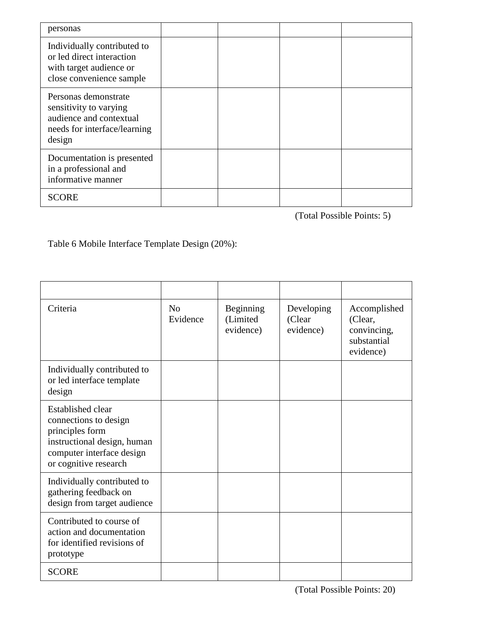| personas                                                                                                            |  |  |
|---------------------------------------------------------------------------------------------------------------------|--|--|
| Individually contributed to<br>or led direct interaction<br>with target audience or<br>close convenience sample     |  |  |
| Personas demonstrate<br>sensitivity to varying<br>audience and contextual<br>needs for interface/learning<br>design |  |  |
| Documentation is presented<br>in a professional and<br>informative manner                                           |  |  |
| <b>SCORE</b>                                                                                                        |  |  |

(Total Possible Points: 5)

# Table 6 Mobile Interface Template Design (20%):

| Criteria                                                                                                                                                  | No<br>Evidence | Beginning<br>(Limited<br>evidence) | Developing<br>(Clear<br>evidence) | Accomplished<br>(Clear,<br>convincing,<br>substantial<br>evidence) |
|-----------------------------------------------------------------------------------------------------------------------------------------------------------|----------------|------------------------------------|-----------------------------------|--------------------------------------------------------------------|
| Individually contributed to<br>or led interface template<br>design                                                                                        |                |                                    |                                   |                                                                    |
| <b>Established clear</b><br>connections to design<br>principles form<br>instructional design, human<br>computer interface design<br>or cognitive research |                |                                    |                                   |                                                                    |
| Individually contributed to<br>gathering feedback on<br>design from target audience                                                                       |                |                                    |                                   |                                                                    |
| Contributed to course of<br>action and documentation<br>for identified revisions of<br>prototype                                                          |                |                                    |                                   |                                                                    |
| <b>SCORE</b>                                                                                                                                              |                |                                    |                                   |                                                                    |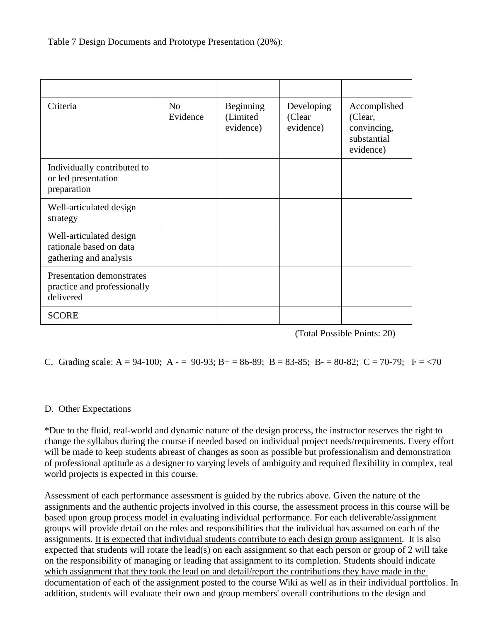Table 7 Design Documents and Prototype Presentation (20%):

| Criteria                                                                     | N <sub>o</sub><br>Evidence | Beginning<br>(Limited<br>evidence) | Developing<br>(Clear<br>evidence) | Accomplished<br>(Clear,<br>convincing,<br>substantial<br>evidence) |
|------------------------------------------------------------------------------|----------------------------|------------------------------------|-----------------------------------|--------------------------------------------------------------------|
| Individually contributed to<br>or led presentation<br>preparation            |                            |                                    |                                   |                                                                    |
| Well-articulated design<br>strategy                                          |                            |                                    |                                   |                                                                    |
| Well-articulated design<br>rationale based on data<br>gathering and analysis |                            |                                    |                                   |                                                                    |
| Presentation demonstrates<br>practice and professionally<br>delivered        |                            |                                    |                                   |                                                                    |
| <b>SCORE</b>                                                                 |                            |                                    |                                   |                                                                    |

(Total Possible Points: 20)

C. Grading scale: A = 94-100; A - = 90-93; B + = 86-89; B = 83-85; B - = 80-82; C = 70-79; F = <70

# D. Other Expectations

\*Due to the fluid, real-world and dynamic nature of the design process, the instructor reserves the right to change the syllabus during the course if needed based on individual project needs/requirements. Every effort will be made to keep students abreast of changes as soon as possible but professionalism and demonstration of professional aptitude as a designer to varying levels of ambiguity and required flexibility in complex, real world projects is expected in this course.

Assessment of each performance assessment is guided by the rubrics above. Given the nature of the assignments and the authentic projects involved in this course, the assessment process in this course will be based upon group process model in evaluating individual performance. For each deliverable/assignment groups will provide detail on the roles and responsibilities that the individual has assumed on each of the assignments. It is expected that individual students contribute to each design group assignment. It is also expected that students will rotate the lead(s) on each assignment so that each person or group of 2 will take on the responsibility of managing or leading that assignment to its completion. Students should indicate which assignment that they took the lead on and detail/report the contributions they have made in the documentation of each of the assignment posted to the course Wiki as well as in their individual portfolios. In addition, students will evaluate their own and group members' overall contributions to the design and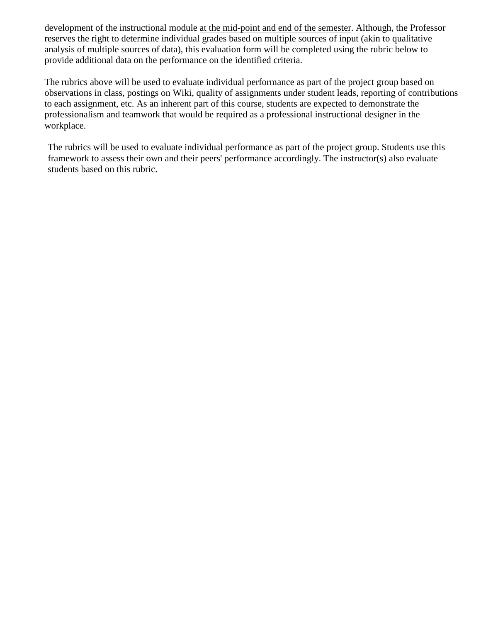development of the instructional module at the mid-point and end of the semester. Although, the Professor reserves the right to determine individual grades based on multiple sources of input (akin to qualitative analysis of multiple sources of data), this evaluation form will be completed using the rubric below to provide additional data on the performance on the identified criteria.

The rubrics above will be used to evaluate individual performance as part of the project group based on observations in class, postings on Wiki, quality of assignments under student leads, reporting of contributions to each assignment, etc. As an inherent part of this course, students are expected to demonstrate the professionalism and teamwork that would be required as a professional instructional designer in the workplace.

The rubrics will be used to evaluate individual performance as part of the project group. Students use this framework to assess their own and their peers' performance accordingly. The instructor(s) also evaluate students based on this rubric.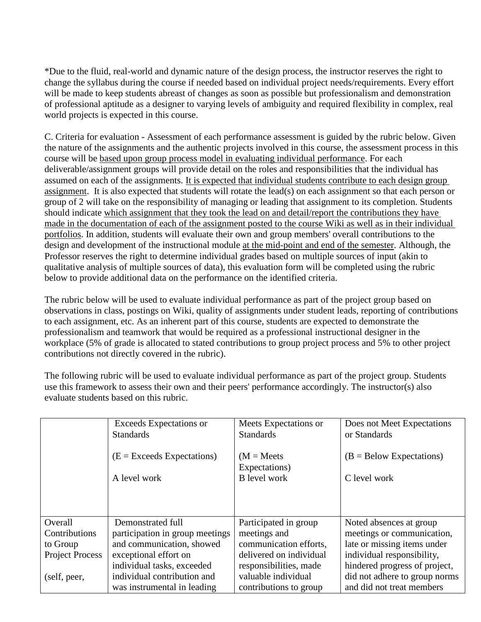\*Due to the fluid, real-world and dynamic nature of the design process, the instructor reserves the right to change the syllabus during the course if needed based on individual project needs/requirements. Every effort will be made to keep students abreast of changes as soon as possible but professionalism and demonstration of professional aptitude as a designer to varying levels of ambiguity and required flexibility in complex, real world projects is expected in this course.

C. Criteria for evaluation - Assessment of each performance assessment is guided by the rubric below. Given the nature of the assignments and the authentic projects involved in this course, the assessment process in this course will be based upon group process model in evaluating individual performance. For each deliverable/assignment groups will provide detail on the roles and responsibilities that the individual has assumed on each of the assignments. It is expected that individual students contribute to each design group assignment. It is also expected that students will rotate the lead(s) on each assignment so that each person or group of 2 will take on the responsibility of managing or leading that assignment to its completion. Students should indicate which assignment that they took the lead on and detail/report the contributions they have made in the documentation of each of the assignment posted to the course Wiki as well as in their individual portfolios. In addition, students will evaluate their own and group members' overall contributions to the design and development of the instructional module at the mid-point and end of the semester. Although, the Professor reserves the right to determine individual grades based on multiple sources of input (akin to qualitative analysis of multiple sources of data), this evaluation form will be completed using the rubric below to provide additional data on the performance on the identified criteria.

The rubric below will be used to evaluate individual performance as part of the project group based on observations in class, postings on Wiki, quality of assignments under student leads, reporting of contributions to each assignment, etc. As an inherent part of this course, students are expected to demonstrate the professionalism and teamwork that would be required as a professional instructional designer in the workplace (5% of grade is allocated to stated contributions to group project process and 5% to other project contributions not directly covered in the rubric).

The following rubric will be used to evaluate individual performance as part of the project group. Students use this framework to assess their own and their peers' performance accordingly. The instructor(s) also evaluate students based on this rubric.

|                        | Exceeds Expectations or         | Meets Expectations or          | Does not Meet Expectations    |
|------------------------|---------------------------------|--------------------------------|-------------------------------|
|                        | <b>Standards</b>                | <b>Standards</b>               | or Standards                  |
|                        | $(E = Exceeds Expectations)$    | $(M = Meets)$<br>Expectations) | $(B = Below Expectations)$    |
|                        | A level work                    | <b>B</b> level work            | C level work                  |
|                        |                                 |                                |                               |
|                        |                                 |                                |                               |
| Overall                | Demonstrated full               | Participated in group          | Noted absences at group       |
| Contributions          | participation in group meetings | meetings and                   | meetings or communication,    |
| to Group               | and communication, showed       | communication efforts,         | late or missing items under   |
| <b>Project Process</b> | exceptional effort on           | delivered on individual        | individual responsibility,    |
|                        | individual tasks, exceeded      | responsibilities, made         | hindered progress of project, |
| (self, peer,           | individual contribution and     | valuable individual            | did not adhere to group norms |
|                        | was instrumental in leading     | contributions to group         | and did not treat members     |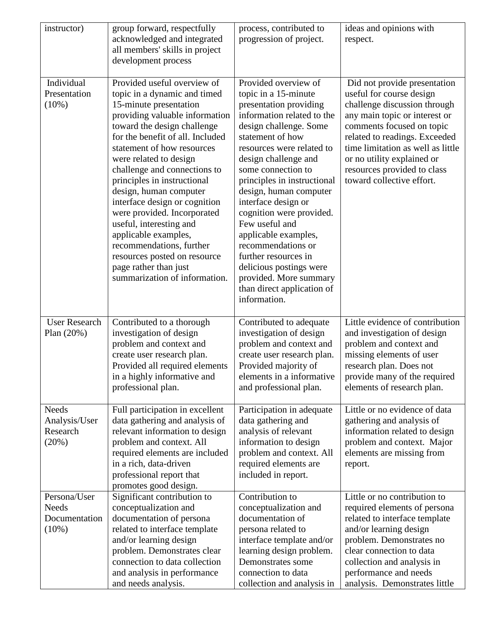| instructor)                                               | group forward, respectfully<br>acknowledged and integrated<br>all members' skills in project<br>development process                                                                                                                                                                                                                                                                                                                                                                                                                                                                  | process, contributed to<br>progression of project.                                                                                                                                                                                                                                                                                                                                                                                                                                                                                   | ideas and opinions with<br>respect.                                                                                                                                                                                                                                                                                    |
|-----------------------------------------------------------|--------------------------------------------------------------------------------------------------------------------------------------------------------------------------------------------------------------------------------------------------------------------------------------------------------------------------------------------------------------------------------------------------------------------------------------------------------------------------------------------------------------------------------------------------------------------------------------|--------------------------------------------------------------------------------------------------------------------------------------------------------------------------------------------------------------------------------------------------------------------------------------------------------------------------------------------------------------------------------------------------------------------------------------------------------------------------------------------------------------------------------------|------------------------------------------------------------------------------------------------------------------------------------------------------------------------------------------------------------------------------------------------------------------------------------------------------------------------|
| Individual<br>Presentation<br>$(10\%)$                    | Provided useful overview of<br>topic in a dynamic and timed<br>15-minute presentation<br>providing valuable information<br>toward the design challenge<br>for the benefit of all. Included<br>statement of how resources<br>were related to design<br>challenge and connections to<br>principles in instructional<br>design, human computer<br>interface design or cognition<br>were provided. Incorporated<br>useful, interesting and<br>applicable examples,<br>recommendations, further<br>resources posted on resource<br>page rather than just<br>summarization of information. | Provided overview of<br>topic in a 15-minute<br>presentation providing<br>information related to the<br>design challenge. Some<br>statement of how<br>resources were related to<br>design challenge and<br>some connection to<br>principles in instructional<br>design, human computer<br>interface design or<br>cognition were provided.<br>Few useful and<br>applicable examples,<br>recommendations or<br>further resources in<br>delicious postings were<br>provided. More summary<br>than direct application of<br>information. | Did not provide presentation<br>useful for course design<br>challenge discussion through<br>any main topic or interest or<br>comments focused on topic<br>related to readings. Exceeded<br>time limitation as well as little<br>or no utility explained or<br>resources provided to class<br>toward collective effort. |
| <b>User Research</b><br>Plan $(20%)$                      | Contributed to a thorough<br>investigation of design<br>problem and context and<br>create user research plan.<br>Provided all required elements<br>in a highly informative and<br>professional plan.                                                                                                                                                                                                                                                                                                                                                                                 | Contributed to adequate<br>investigation of design<br>problem and context and<br>create user research plan.<br>Provided majority of<br>elements in a informative<br>and professional plan.                                                                                                                                                                                                                                                                                                                                           | Little evidence of contribution<br>and investigation of design<br>problem and context and<br>missing elements of user<br>research plan. Does not<br>provide many of the required<br>elements of research plan.                                                                                                         |
| <b>Needs</b><br>Analysis/User<br>Research<br>(20%)        | Full participation in excellent<br>data gathering and analysis of<br>relevant information to design<br>problem and context. All<br>required elements are included<br>in a rich, data-driven<br>professional report that<br>promotes good design.                                                                                                                                                                                                                                                                                                                                     | Participation in adequate<br>data gathering and<br>analysis of relevant<br>information to design<br>problem and context. All<br>required elements are<br>included in report.                                                                                                                                                                                                                                                                                                                                                         | Little or no evidence of data<br>gathering and analysis of<br>information related to design<br>problem and context. Major<br>elements are missing from<br>report.                                                                                                                                                      |
| Persona/User<br><b>Needs</b><br>Documentation<br>$(10\%)$ | Significant contribution to<br>conceptualization and<br>documentation of persona<br>related to interface template<br>and/or learning design<br>problem. Demonstrates clear<br>connection to data collection<br>and analysis in performance<br>and needs analysis.                                                                                                                                                                                                                                                                                                                    | Contribution to<br>conceptualization and<br>documentation of<br>persona related to<br>interface template and/or<br>learning design problem.<br>Demonstrates some<br>connection to data<br>collection and analysis in                                                                                                                                                                                                                                                                                                                 | Little or no contribution to<br>required elements of persona<br>related to interface template<br>and/or learning design<br>problem. Demonstrates no<br>clear connection to data<br>collection and analysis in<br>performance and needs<br>analysis. Demonstrates little                                                |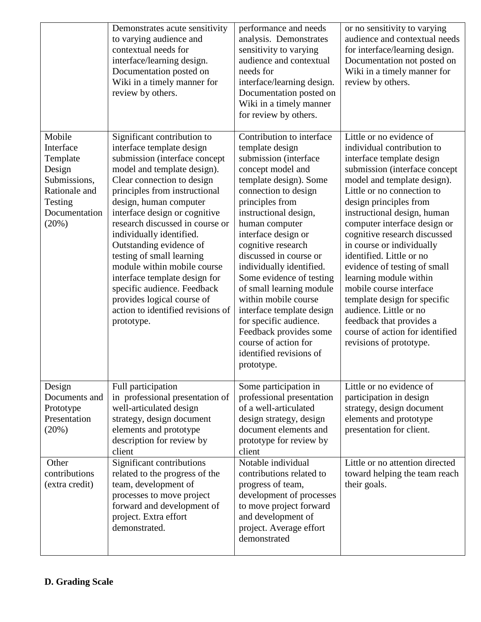|                                                                                                                 | Demonstrates acute sensitivity<br>to varying audience and<br>contextual needs for<br>interface/learning design.<br>Documentation posted on<br>Wiki in a timely manner for<br>review by others.                                                                                                                                                                                                                                                                                                                                                            | performance and needs<br>analysis. Demonstrates<br>sensitivity to varying<br>audience and contextual<br>needs for<br>interface/learning design.<br>Documentation posted on<br>Wiki in a timely manner<br>for review by others.                                                                                                                                                                                                                                                                                                                  | or no sensitivity to varying<br>audience and contextual needs<br>for interface/learning design.<br>Documentation not posted on<br>Wiki in a timely manner for<br>review by others.                                                                                                                                                                                                                                                                                                                                                                                                                           |
|-----------------------------------------------------------------------------------------------------------------|-----------------------------------------------------------------------------------------------------------------------------------------------------------------------------------------------------------------------------------------------------------------------------------------------------------------------------------------------------------------------------------------------------------------------------------------------------------------------------------------------------------------------------------------------------------|-------------------------------------------------------------------------------------------------------------------------------------------------------------------------------------------------------------------------------------------------------------------------------------------------------------------------------------------------------------------------------------------------------------------------------------------------------------------------------------------------------------------------------------------------|--------------------------------------------------------------------------------------------------------------------------------------------------------------------------------------------------------------------------------------------------------------------------------------------------------------------------------------------------------------------------------------------------------------------------------------------------------------------------------------------------------------------------------------------------------------------------------------------------------------|
| Mobile<br>Interface<br>Template<br>Design<br>Submissions,<br>Rationale and<br>Testing<br>Documentation<br>(20%) | Significant contribution to<br>interface template design<br>submission (interface concept<br>model and template design).<br>Clear connection to design<br>principles from instructional<br>design, human computer<br>interface design or cognitive<br>research discussed in course or<br>individually identified.<br>Outstanding evidence of<br>testing of small learning<br>module within mobile course<br>interface template design for<br>specific audience. Feedback<br>provides logical course of<br>action to identified revisions of<br>prototype. | Contribution to interface<br>template design<br>submission (interface<br>concept model and<br>template design). Some<br>connection to design<br>principles from<br>instructional design,<br>human computer<br>interface design or<br>cognitive research<br>discussed in course or<br>individually identified.<br>Some evidence of testing<br>of small learning module<br>within mobile course<br>interface template design<br>for specific audience.<br>Feedback provides some<br>course of action for<br>identified revisions of<br>prototype. | Little or no evidence of<br>individual contribution to<br>interface template design<br>submission (interface concept<br>model and template design).<br>Little or no connection to<br>design principles from<br>instructional design, human<br>computer interface design or<br>cognitive research discussed<br>in course or individually<br>identified. Little or no<br>evidence of testing of small<br>learning module within<br>mobile course interface<br>template design for specific<br>audience. Little or no<br>feedback that provides a<br>course of action for identified<br>revisions of prototype. |
| Design<br>Documents and<br>Prototype<br>Presentation<br>(20%)                                                   | Full participation<br>in professional presentation of<br>well-articulated design<br>strategy, design document<br>elements and prototype<br>description for review by<br>client                                                                                                                                                                                                                                                                                                                                                                            | Some participation in<br>professional presentation<br>of a well-articulated<br>design strategy, design<br>document elements and<br>prototype for review by<br>client                                                                                                                                                                                                                                                                                                                                                                            | Little or no evidence of<br>participation in design<br>strategy, design document<br>elements and prototype<br>presentation for client.                                                                                                                                                                                                                                                                                                                                                                                                                                                                       |
| Other<br>contributions<br>(extra credit)                                                                        | Significant contributions<br>related to the progress of the<br>team, development of<br>processes to move project<br>forward and development of<br>project. Extra effort<br>demonstrated.                                                                                                                                                                                                                                                                                                                                                                  | Notable individual<br>contributions related to<br>progress of team,<br>development of processes<br>to move project forward<br>and development of<br>project. Average effort<br>demonstrated                                                                                                                                                                                                                                                                                                                                                     | Little or no attention directed<br>toward helping the team reach<br>their goals.                                                                                                                                                                                                                                                                                                                                                                                                                                                                                                                             |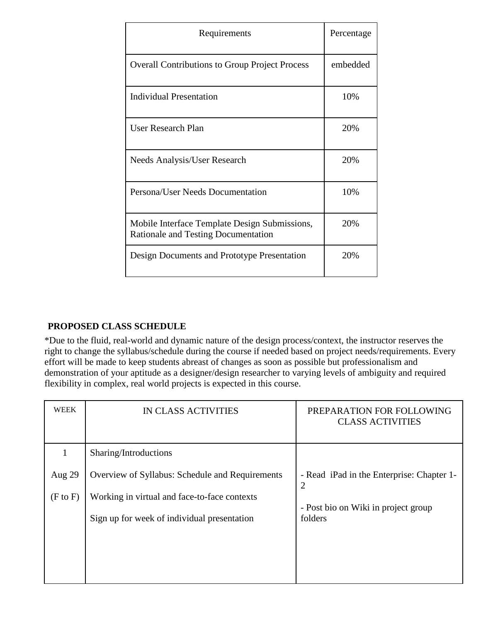| Requirements                                                                                | Percentage |
|---------------------------------------------------------------------------------------------|------------|
| <b>Overall Contributions to Group Project Process</b>                                       | embedded   |
| <b>Individual Presentation</b>                                                              | 10%        |
| User Research Plan                                                                          | 20%        |
| Needs Analysis/User Research                                                                | 20%        |
| Persona/User Needs Documentation                                                            | 10%        |
| Mobile Interface Template Design Submissions,<br><b>Rationale and Testing Documentation</b> | 20%        |
| Design Documents and Prototype Presentation                                                 | 20%        |

# **PROPOSED CLASS SCHEDULE**

\*Due to the fluid, real-world and dynamic nature of the design process/context, the instructor reserves the right to change the syllabus/schedule during the course if needed based on project needs/requirements. Every effort will be made to keep students abreast of changes as soon as possible but professionalism and demonstration of your aptitude as a designer/design researcher to varying levels of ambiguity and required flexibility in complex, real world projects is expected in this course.

| WEEK                | IN CLASS ACTIVITIES                             | PREPARATION FOR FOLLOWING<br><b>CLASS ACTIVITIES</b>        |
|---------------------|-------------------------------------------------|-------------------------------------------------------------|
|                     | Sharing/Introductions                           |                                                             |
| Aug 29              | Overview of Syllabus: Schedule and Requirements | - Read iPad in the Enterprise: Chapter 1-<br>$\overline{2}$ |
| $(F \text{ to } F)$ | Working in virtual and face-to-face contexts    | - Post bio on Wiki in project group                         |
|                     | Sign up for week of individual presentation     | folders                                                     |
|                     |                                                 |                                                             |
|                     |                                                 |                                                             |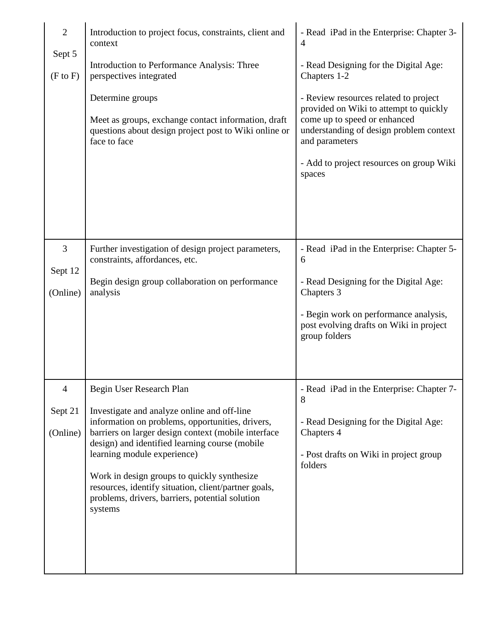| $\overline{2}$<br>Sept 5<br>(F to F) | Introduction to project focus, constraints, client and<br>context<br>Introduction to Performance Analysis: Three<br>perspectives integrated<br>Determine groups<br>Meet as groups, exchange contact information, draft<br>questions about design project post to Wiki online or<br>face to face                                                                                                              | - Read iPad in the Enterprise: Chapter 3-<br>$\overline{4}$<br>- Read Designing for the Digital Age:<br>Chapters 1-2<br>- Review resources related to project<br>provided on Wiki to attempt to quickly<br>come up to speed or enhanced<br>understanding of design problem context<br>and parameters |
|--------------------------------------|--------------------------------------------------------------------------------------------------------------------------------------------------------------------------------------------------------------------------------------------------------------------------------------------------------------------------------------------------------------------------------------------------------------|------------------------------------------------------------------------------------------------------------------------------------------------------------------------------------------------------------------------------------------------------------------------------------------------------|
|                                      |                                                                                                                                                                                                                                                                                                                                                                                                              | - Add to project resources on group Wiki<br>spaces                                                                                                                                                                                                                                                   |
| 3                                    | Further investigation of design project parameters,<br>constraints, affordances, etc.                                                                                                                                                                                                                                                                                                                        | - Read iPad in the Enterprise: Chapter 5-<br>6                                                                                                                                                                                                                                                       |
| Sept 12<br>(Online)                  | Begin design group collaboration on performance<br>analysis                                                                                                                                                                                                                                                                                                                                                  | - Read Designing for the Digital Age:<br>Chapters 3                                                                                                                                                                                                                                                  |
|                                      |                                                                                                                                                                                                                                                                                                                                                                                                              | - Begin work on performance analysis,<br>post evolving drafts on Wiki in project<br>group folders                                                                                                                                                                                                    |
| 4                                    | Begin User Research Plan                                                                                                                                                                                                                                                                                                                                                                                     | - Read iPad in the Enterprise: Chapter 7-<br>8                                                                                                                                                                                                                                                       |
| Sept 21<br>(Online)                  | Investigate and analyze online and off-line<br>information on problems, opportunities, drivers,<br>barriers on larger design context (mobile interface<br>design) and identified learning course (mobile<br>learning module experience)<br>Work in design groups to quickly synthesize<br>resources, identify situation, client/partner goals,<br>problems, drivers, barriers, potential solution<br>systems | - Read Designing for the Digital Age:<br>Chapters 4<br>- Post drafts on Wiki in project group<br>folders                                                                                                                                                                                             |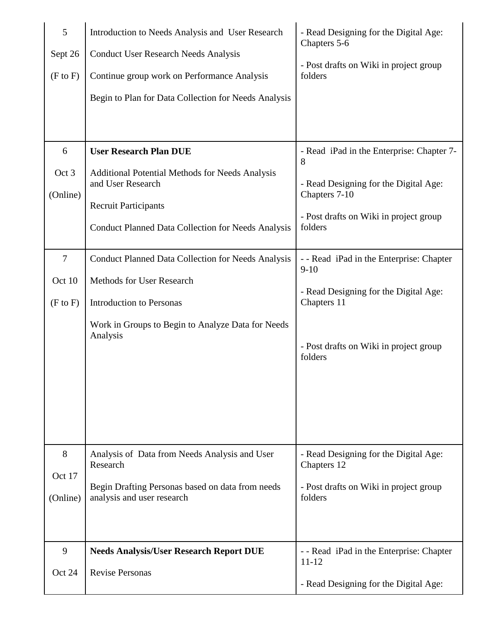| 5<br>Sept 26<br>$(F \text{ to } F)$     | Introduction to Needs Analysis and User Research<br><b>Conduct User Research Needs Analysis</b><br>Continue group work on Performance Analysis<br>Begin to Plan for Data Collection for Needs Analysis   | - Read Designing for the Digital Age:<br>Chapters 5-6<br>- Post drafts on Wiki in project group<br>folders                                                        |
|-----------------------------------------|----------------------------------------------------------------------------------------------------------------------------------------------------------------------------------------------------------|-------------------------------------------------------------------------------------------------------------------------------------------------------------------|
| 6<br>Oct 3<br>(Online)                  | <b>User Research Plan DUE</b><br><b>Additional Potential Methods for Needs Analysis</b><br>and User Research<br><b>Recruit Participants</b><br><b>Conduct Planned Data Collection for Needs Analysis</b> | - Read iPad in the Enterprise: Chapter 7-<br>8<br>- Read Designing for the Digital Age:<br>Chapters 7-10<br>- Post drafts on Wiki in project group<br>folders     |
| $\tau$<br>Oct 10<br>$(F \text{ to } F)$ | <b>Conduct Planned Data Collection for Needs Analysis</b><br>Methods for User Research<br><b>Introduction to Personas</b><br>Work in Groups to Begin to Analyze Data for Needs<br>Analysis               | - - Read iPad in the Enterprise: Chapter<br>$9 - 10$<br>- Read Designing for the Digital Age:<br>Chapters 11<br>- Post drafts on Wiki in project group<br>folders |
| 8<br>Oct 17<br>(Online)                 | Analysis of Data from Needs Analysis and User<br>Research<br>Begin Drafting Personas based on data from needs<br>analysis and user research                                                              | - Read Designing for the Digital Age:<br>Chapters 12<br>- Post drafts on Wiki in project group<br>folders                                                         |
| 9<br>Oct 24                             | <b>Needs Analysis/User Research Report DUE</b><br><b>Revise Personas</b>                                                                                                                                 | - - Read iPad in the Enterprise: Chapter<br>11-12<br>- Read Designing for the Digital Age:                                                                        |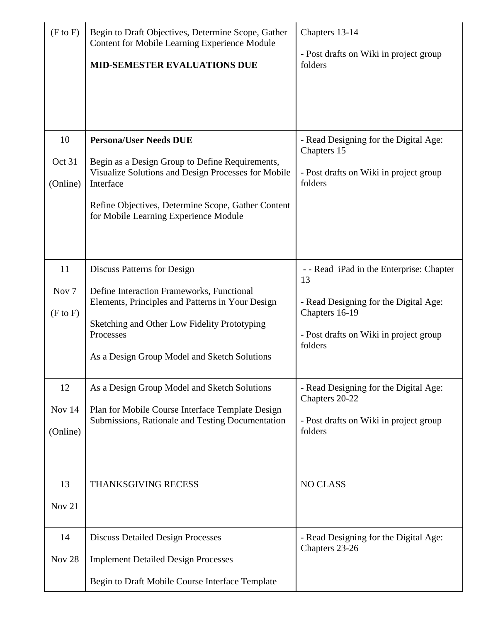| $(F \text{ to } F)$                     | Begin to Draft Objectives, Determine Scope, Gather<br><b>Content for Mobile Learning Experience Module</b><br><b>MID-SEMESTER EVALUATIONS DUE</b>                                                          | Chapters 13-14<br>- Post drafts on Wiki in project group<br>folders                                          |
|-----------------------------------------|------------------------------------------------------------------------------------------------------------------------------------------------------------------------------------------------------------|--------------------------------------------------------------------------------------------------------------|
| 10<br>Oct 31<br>(Online)                | <b>Persona/User Needs DUE</b><br>Begin as a Design Group to Define Requirements,<br>Visualize Solutions and Design Processes for Mobile<br>Interface                                                       | - Read Designing for the Digital Age:<br>Chapters 15<br>- Post drafts on Wiki in project group<br>folders    |
|                                         | Refine Objectives, Determine Scope, Gather Content<br>for Mobile Learning Experience Module                                                                                                                |                                                                                                              |
| 11                                      | Discuss Patterns for Design                                                                                                                                                                                | - - Read iPad in the Enterprise: Chapter<br>13                                                               |
| Nov <sub>7</sub><br>$(F \text{ to } F)$ | Define Interaction Frameworks, Functional<br>Elements, Principles and Patterns in Your Design<br>Sketching and Other Low Fidelity Prototyping<br>Processes<br>As a Design Group Model and Sketch Solutions | - Read Designing for the Digital Age:<br>Chapters 16-19<br>- Post drafts on Wiki in project group<br>folders |
| 12<br>Nov 14<br>(Online)                | As a Design Group Model and Sketch Solutions<br>Plan for Mobile Course Interface Template Design<br>Submissions, Rationale and Testing Documentation                                                       | - Read Designing for the Digital Age:<br>Chapters 20-22<br>- Post drafts on Wiki in project group<br>folders |
| 13<br>Nov 21                            | <b>THANKSGIVING RECESS</b>                                                                                                                                                                                 | <b>NO CLASS</b>                                                                                              |
| 14<br>Nov <sub>28</sub>                 | <b>Discuss Detailed Design Processes</b><br><b>Implement Detailed Design Processes</b><br>Begin to Draft Mobile Course Interface Template                                                                  | - Read Designing for the Digital Age:<br>Chapters 23-26                                                      |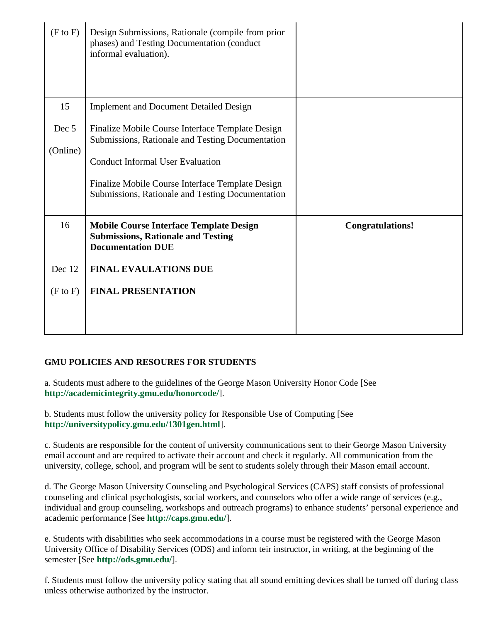| (F to F)          | Design Submissions, Rationale (compile from prior<br>phases) and Testing Documentation (conduct<br>informal evaluation).                                                                                                                                |                         |
|-------------------|---------------------------------------------------------------------------------------------------------------------------------------------------------------------------------------------------------------------------------------------------------|-------------------------|
| 15                | <b>Implement and Document Detailed Design</b>                                                                                                                                                                                                           |                         |
| Dec 5<br>(Online) | Finalize Mobile Course Interface Template Design<br>Submissions, Rationale and Testing Documentation<br><b>Conduct Informal User Evaluation</b><br>Finalize Mobile Course Interface Template Design<br>Submissions, Rationale and Testing Documentation |                         |
| 16                | <b>Mobile Course Interface Template Design</b><br><b>Submissions, Rationale and Testing</b><br><b>Documentation DUE</b>                                                                                                                                 | <b>Congratulations!</b> |
| Dec 12            | <b>FINAL EVAULATIONS DUE</b>                                                                                                                                                                                                                            |                         |
| (F to F)          | <b>FINAL PRESENTATION</b>                                                                                                                                                                                                                               |                         |

# **GMU POLICIES AND RESOURES FOR STUDENTS**

a. Students must adhere to the guidelines of the George Mason University Honor Code [See **http://academicintegrity.gmu.edu/honorcode/**].

b. Students must follow the university policy for Responsible Use of Computing [See **http://universitypolicy.gmu.edu/1301gen.html**].

c. Students are responsible for the content of university communications sent to their George Mason University email account and are required to activate their account and check it regularly. All communication from the university, college, school, and program will be sent to students solely through their Mason email account.

d. The George Mason University Counseling and Psychological Services (CAPS) staff consists of professional counseling and clinical psychologists, social workers, and counselors who offer a wide range of services (e.g., individual and group counseling, workshops and outreach programs) to enhance students' personal experience and academic performance [See **http://caps.gmu.edu/**].

e. Students with disabilities who seek accommodations in a course must be registered with the George Mason University Office of Disability Services (ODS) and inform teir instructor, in writing, at the beginning of the semester [See **http://ods.gmu.edu/**].

f. Students must follow the university policy stating that all sound emitting devices shall be turned off during class unless otherwise authorized by the instructor.